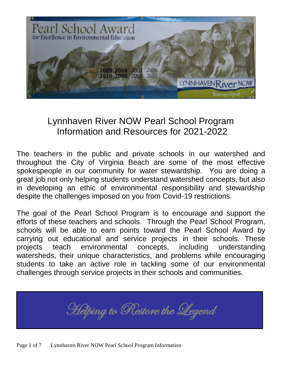

# Lynnhaven River NOW Pearl School Program Information and Resources for 2021-2022

The teachers in the public and private schools in our watershed and throughout the City of Virginia Beach are some of the most effective spokespeople in our community for water stewardship. You are doing a great job not only helping students understand watershed concepts, but also in developing an ethic of environmental responsibility and stewardship despite the challenges imposed on you from Covid-19 restrictions.

The goal of the Pearl School Program is to encourage and support the efforts of these teachers and schools. Through the Pearl School Program, schools will be able to earn points toward the Pearl School Award by carrying out educational and service projects in their schools. These projects teach environmental concepts, including understanding watersheds, their unique characteristics, and problems while encouraging students to take an active role in tackling some of our environmental challenges through service projects in their schools and communities.

**Helping to Restore the Legend**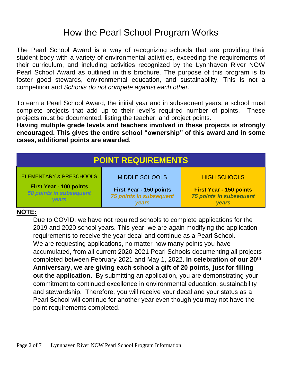# How the Pearl School Program Works

The Pearl School Award is a way of recognizing schools that are providing their student body with a variety of environmental activities, exceeding the requirements of their curriculum, and including activities recognized by the Lynnhaven River NOW Pearl School Award as outlined in this brochure. The purpose of this program is to foster good stewards, environmental education, and sustainability. This is not a competition and *Schools do not compete against each other.* 

To earn a Pearl School Award, the initial year and in subsequent years, a school must complete projects that add up to their level's required number of points. These projects must be documented, listing the teacher, and project points.

**Having multiple grade levels and teachers involved in these projects is strongly encouraged. This gives the entire school "ownership" of this award and in some cases, additional points are awarded.**

| <b>POINT REQUIREMENTS</b>          |                                |                                |
|------------------------------------|--------------------------------|--------------------------------|
| <b>ELEMENTARY &amp; PRESCHOOLS</b> | <b>MIDDLE SCHOOLS</b>          | <b>HIGH SCHOOLS</b>            |
| <b>First Year - 100 points</b>     | First Year - 150 points        | <b>First Year - 150 points</b> |
| 50 points in subsequent            | <b>75 points in subsequent</b> | <b>75 points in subsequent</b> |
| <b>vears</b>                       | <b>vears</b>                   | <b>vears</b>                   |

#### **NOTE:**

Due to COVID, we have not required schools to complete applications for the 2019 and 2020 school years. This year, we are again modifying the application requirements to receive the year decal and continue as a Pearl School. We are requesting applications, no matter how many points you have accumulated, from all current 2020-2021 Pearl Schools documenting all projects completed between February 2021 and May 1, 2022**. In celebration of our 20th Anniversary, we are giving each school a gift of 20 points, just for filling out the application.** By submitting an application, you are demonstrating your commitment to continued excellence in environmental education, sustainability and stewardship. Therefore, you will receive your decal and your status as a Pearl School will continue for another year even though you may not have the point requirements completed.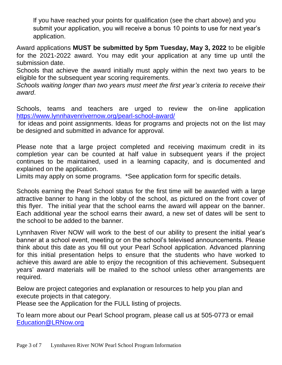If you have reached your points for qualification (see the chart above) and you submit your application, you will receive a bonus 10 points to use for next year's application.

Award applications **MUST be submitted by 5pm Tuesday, May 3, 2022** to be eligible for the 2021-2022 award. You may edit your application at any time up until the submission date.

Schools that achieve the award initially must apply within the next two years to be eligible for the subsequent year scoring requirements.

*Schools waiting longer than two years must meet the first year's criteria to receive their award*.

Schools, teams and teachers are urged to review the on-line application <https://www.lynnhavenrivernow.org/pearl-school-award/>

for ideas and point assignments. Ideas for programs and projects not on the list may be designed and submitted in advance for approval.

Please note that a large project completed and receiving maximum credit in its completion year can be counted at half value in subsequent years if the project continues to be maintained, used in a learning capacity, and is documented and explained on the application.

Limits may apply on some programs. \*See application form for specific details.

Schools earning the Pearl School status for the first time will be awarded with a large attractive banner to hang in the lobby of the school, as pictured on the front cover of this flyer. The initial year that the school earns the award will appear on the banner. Each additional year the school earns their award, a new set of dates will be sent to the school to be added to the banner.

Lynnhaven River NOW will work to the best of our ability to present the initial year's banner at a school event, meeting or on the school's televised announcements. Please think about this date as you fill out your Pearl School application. Advanced planning for this initial presentation helps to ensure that the students who have worked to achieve this award are able to enjoy the recognition of this achievement. Subsequent years' award materials will be mailed to the school unless other arrangements are required.

Below are project categories and explanation or resources to help you plan and execute projects in that category.

Please see the Application for the FULL listing of projects.

To learn more about our Pearl School program, please call us at 505-0773 or email [Education@LRNow.org](mailto:Education@LRNow.org)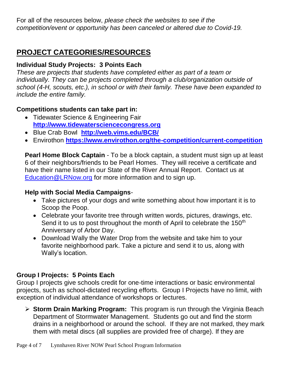For all of the resources below, *please check the websites to see if the competition/event or opportunity has been canceled or altered due to Covid-19.*

# **PROJECT CATEGORIES/RESOURCES**

#### **Individual Study Projects: 3 Points Each**

*These are projects that students have completed either as part of a team or*  individually. They can be projects completed through a club/organization outside of *school (4-H, scouts, etc.), in school or with their family. These have been expanded to include the entire family.* 

#### **Competitions students can take part in:**

- Tidewater Science & Engineering Fair **[http://www.tidewatersciencecongress.org](http://www.tidewatersciencecongress.org/)**
- Blue Crab Bowl **<http://web.vims.edu/BCB/>**
- Envirothon **<https://www.envirothon.org/the-competition/current-competition>**

**Pearl Home Block Captain** - To be a block captain, a student must sign up at least 6 of their neighbors/friends to be Pearl Homes. They will receive a certificate and have their name listed in our State of the River Annual Report. Contact us at [Education@LRNow.org](mailto:Education@LRNow.org) for more information and to sign up.

#### **Help with Social Media Campaigns**-

- Take pictures of your dogs and write something about how important it is to Scoop the Poop.
- Celebrate your favorite tree through written words, pictures, drawings, etc. Send it to us to post throughout the month of April to celebrate the 150<sup>th</sup> Anniversary of Arbor Day.
- Download Wally the Water Drop from the website and take him to your favorite neighborhood park. Take a picture and send it to us, along with Wally's location.

### **Group I Projects: 5 Points Each**

Group I projects give schools credit for one-time interactions or basic environmental projects, such as school-dictated recycling efforts. Group I Projects have no limit, with exception of individual attendance of workshops or lectures.

 **Storm Drain Marking Program:** This program is run through the Virginia Beach Department of Stormwater Management. Students go out and find the storm drains in a neighborhood or around the school. If they are not marked, they mark them with metal discs (all supplies are provided free of charge). If they are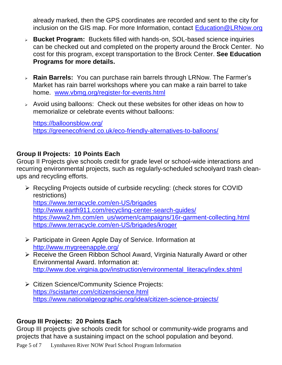already marked, then the GPS coordinates are recorded and sent to the city for inclusion on the GIS map. For more Information, contact [Education@LRNow.org](mailto:Education@LRNow.org)

- **Bucket Program:** Buckets filled with hands-on, SOL-based science inquiries can be checked out and completed on the property around the Brock Center. No cost for this program, except transportation to the Brock Center. **See Education Programs for more details.**
- **Rain Barrels:** You can purchase rain barrels through LRNow. The Farmer's Market has rain barrel workshops where you can make a rain barrel to take home. [www.vbmg.org/register-for-events.html](http://www.vbmg.org/register-for-events.html)
- $\triangleright$  Avoid using balloons: Check out these websites for other ideas on how to memorialize or celebrate events without balloons:

<https://balloonsblow.org/> <https://greenecofriend.co.uk/eco-friendly-alternatives-to-balloons/>

### **Group II Projects: 10 Points Each**

Group II Projects give schools credit for grade level or school-wide interactions and recurring environmental projects, such as regularly-scheduled schoolyard trash cleanups and recycling efforts.

▶ Recycling Projects outside of curbside recycling: (check stores for COVID restrictions) <https://www.terracycle.com/en-US/brigades>

<http://www.earth911.com/recycling-center-search-guides/> [https://www2.hm.com/en\\_us/women/campaigns/16r-garment-collecting.html](https://www2.hm.com/en_us/women/campaigns/16r-garment-collecting.html) <https://www.terracycle.com/en-US/brigades/kroger>

- ▶ Participate in Green Apple Day of Service. Information at <http://www.mygreenapple.org/>
- ▶ Receive the Green Ribbon School Award, Virginia Naturally Award or other Environmental Award. Information at: [http://www.doe.virginia.gov/instruction/environmental\\_literacy/index.shtml](http://www.doe.virginia.gov/instruction/environmental_literacy/index.shtml)
- ▶ Citizen Science/Community Science Projects: <https://scistarter.com/citizenscience.html> <https://www.nationalgeographic.org/idea/citizen-science-projects/>

# **Group III Projects: 20 Points Each**

Group III projects give schools credit for school or community-wide programs and projects that have a sustaining impact on the school population and beyond.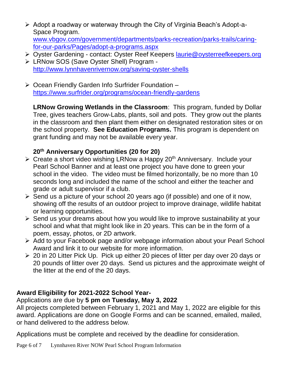- Adopt a roadway or waterway through the City of Virginia Beach's Adopt-a-Space Program. [www.vbgov.com/government/departments/parks-recreation/parks-trails/caring](http://www.vbgov.com/government/departments/parks-recreation/parks-trails/caring-for-our-parks/Pages/adopt-a-programs.aspx)[for-our-parks/Pages/adopt-a-programs.aspx](http://www.vbgov.com/government/departments/parks-recreation/parks-trails/caring-for-our-parks/Pages/adopt-a-programs.aspx)
- ▶ Oyster Gardening contact: Oyster Reef Keepers [laurie@oysterreefkeepers.org](mailto:laurie@oysterreefkeepers.org)
- LRNow SOS (Save Oyster Shell) Program <http://www.lynnhavenrivernow.org/saving-oyster-shells>
- $\triangleright$  Ocean Friendly Garden Info Surfrider Foundation <https://www.surfrider.org/programs/ocean-friendly-gardens>

**LRNow Growing Wetlands in the Classroom**: This program, funded by Dollar Tree, gives teachers Grow-Labs, plants, soil and pots. They grow out the plants in the classroom and then plant them either on designated restoration sites or on the school property. **See Education Programs.** This program is dependent on grant funding and may not be available every year.

### **20th Anniversary Opportunities (20 for 20)**

- $\triangleright$  Create a short video wishing LRNow a Happy 20<sup>th</sup> Anniversary. Include your Pearl School Banner and at least one project you have done to green your school in the video. The video must be filmed horizontally, be no more than 10 seconds long and included the name of the school and either the teacher and grade or adult supervisor if a club.
- $\triangleright$  Send us a picture of your school 20 years ago (if possible) and one of it now, showing off the results of an outdoor project to improve drainage, wildlife habitat or learning opportunities.
- $\triangleright$  Send us your dreams about how you would like to improve sustainability at your school and what that might look like in 20 years. This can be in the form of a poem, essay, photos, or 2D artwork.
- Add to your Facebook page and/or webpage information about your Pearl School Award and link it to our website for more information.
- 20 in 20 Litter Pick Up. Pick up either 20 pieces of litter per day over 20 days or 20 pounds of litter over 20 days. Send us pictures and the approximate weight of the litter at the end of the 20 days.

# **Award Eligibility for 2021-2022 School Year-**

# Applications are due by **5 pm on Tuesday, May 3, 2022**

All projects completed between February 1, 2021 and May 1, 2022 are eligible for this award. Applications are done on Google Forms and can be scanned, emailed, mailed, or hand delivered to the address below.

Applications must be complete and received by the deadline for consideration.